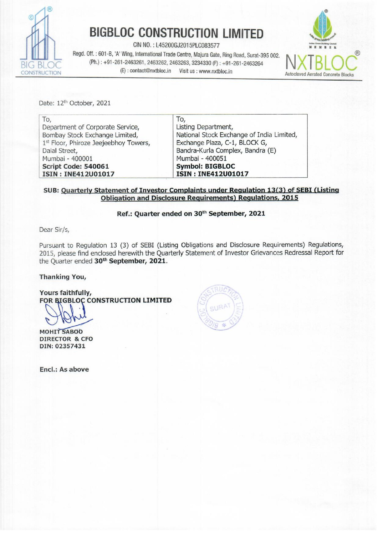

# **BIGBLOC CONSTRUCTION LIMITED**

CIN NO.: L45200GJ2015PLC083577

Regd. Off.: 601-B, 'A' Wing, International Trade Centre, Majura Gate, Ring Road, Surat-395 002. (Ph.): +91-261-2463261, 2463262, 2463263, 3234330 (F): +91-261-2463264 (E): contact@nxtbloc.in Visit us : www.nxtbloc.in



Date: 12th October, 2021

| To,                                   | To,                                       |  |  |
|---------------------------------------|-------------------------------------------|--|--|
| Department of Corporate Service,      | Listing Department,                       |  |  |
| Bombay Stock Exchange Limited,        | National Stock Exchange of India Limited, |  |  |
| 1st Floor, Phiroze Jeejeebhoy Towers, | Exchange Plaza, C-1, BLOCK G,             |  |  |
| Dalal Street,                         | Bandra-Kurla Complex, Bandra (E)          |  |  |
| Mumbai - 400001                       | Mumbai - 400051                           |  |  |
| Script Code: 540061                   | <b>Symbol: BIGBLOC</b>                    |  |  |
| ISIN: INE412U01017                    | ISIN: INE412U01017                        |  |  |

#### SUB: Quarterly Statement of Investor Complaints under Regulation 13(3) of SEBI (Listing **Obligation and Disclosure Requirements) Regulations, 2015**

## Ref.: Quarter ended on 30th September, 2021

Dear Sir/s,

Pursuant to Regulation 13 (3) of SEBI (Listing Obligations and Disclosure Requirements) Regulations, 2015, please find enclosed herewith the Quarterly Statement of Investor Grievances Redressal Report for the Quarter ended 30<sup>th</sup> September, 2021.

#### **Thanking You,**

Yours faithfully, FOR BIGBLOC CONSTRUCTION LIMITED

**MOHIT SABOO DIRECTOR & CFO** DIN: 02357431

Encl.: As above